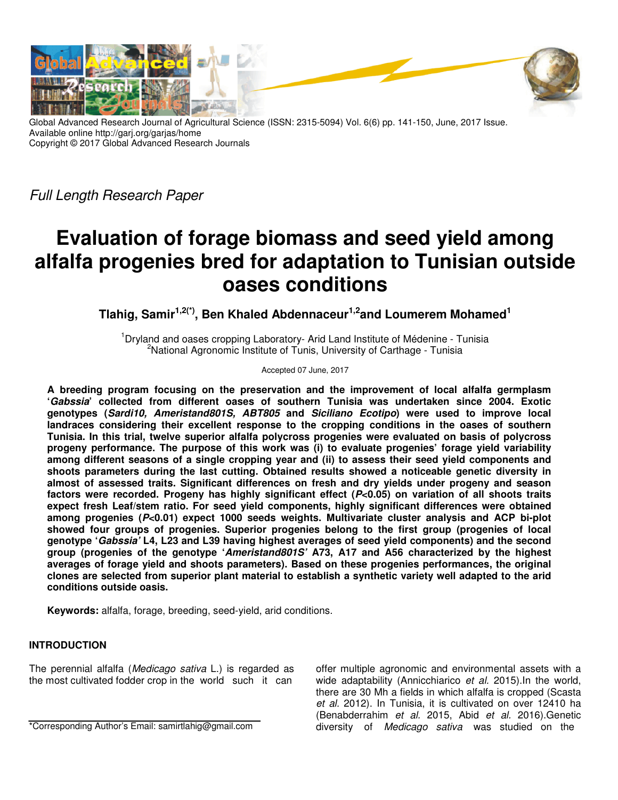

Global Advanced Research Journal of Agricultural Science (ISSN: 2315-5094) Vol. 6(6) pp. 141-150, June, 2017 Issue. Available online http://garj.org/garjas/home Copyright © 2017 Global Advanced Research Journals

Full Length Research Paper

# **Evaluation of forage biomass and seed yield among alfalfa progenies bred for adaptation to Tunisian outside oases conditions**

**Tlahig, Samir1,2(\*), Ben Khaled Abdennaceur1,2and Loumerem Mohamed<sup>1</sup>**

<sup>1</sup>Dryland and oases cropping Laboratory- Arid Land Institute of Médenine - Tunisia <sup>2</sup>National Agronomic Institute of Tunis, University of Carthage - Tunisia

Accepted 07 June, 2017

**A breeding program focusing on the preservation and the improvement of local alfalfa germplasm 'Gabssia' collected from different oases of southern Tunisia was undertaken since 2004. Exotic genotypes (Sardi10, Ameristand801S, ABT805 and Siciliano Ecotipo) were used to improve local landraces considering their excellent response to the cropping conditions in the oases of southern Tunisia. In this trial, twelve superior alfalfa polycross progenies were evaluated on basis of polycross progeny performance. The purpose of this work was (i) to evaluate progenies' forage yield variability among different seasons of a single cropping year and (ii) to assess their seed yield components and shoots parameters during the last cutting. Obtained results showed a noticeable genetic diversity in almost of assessed traits. Significant differences on fresh and dry yields under progeny and season factors were recorded. Progeny has highly significant effect (P<0.05) on variation of all shoots traits expect fresh Leaf/stem ratio. For seed yield components, highly significant differences were obtained among progenies (P<0.01) expect 1000 seeds weights. Multivariate cluster analysis and ACP bi-plot showed four groups of progenies. Superior progenies belong to the first group (progenies of local genotype 'Gabssia' L4, L23 and L39 having highest averages of seed yield components) and the second group (progenies of the genotype 'Ameristand801S' A73, A17 and A56 characterized by the highest averages of forage yield and shoots parameters). Based on these progenies performances, the original clones are selected from superior plant material to establish a synthetic variety well adapted to the arid conditions outside oasis.** 

**Keywords:** alfalfa, forage, breeding, seed-yield, arid conditions.

## **INTRODUCTION**

The perennial alfalfa (Medicago sativa L.) is regarded as the most cultivated fodder crop in the world such it can

\*Corresponding Author's Email: samirtlahig@gmail.com

offer multiple agronomic and environmental assets with a wide adaptability (Annicchiarico et al. 2015). In the world, there are 30 Mh a fields in which alfalfa is cropped (Scasta et al. 2012). In Tunisia, it is cultivated on over 12410 ha (Benabderrahim et al. 2015, Abid et al. 2016).Genetic diversity of Medicago sativa was studied on the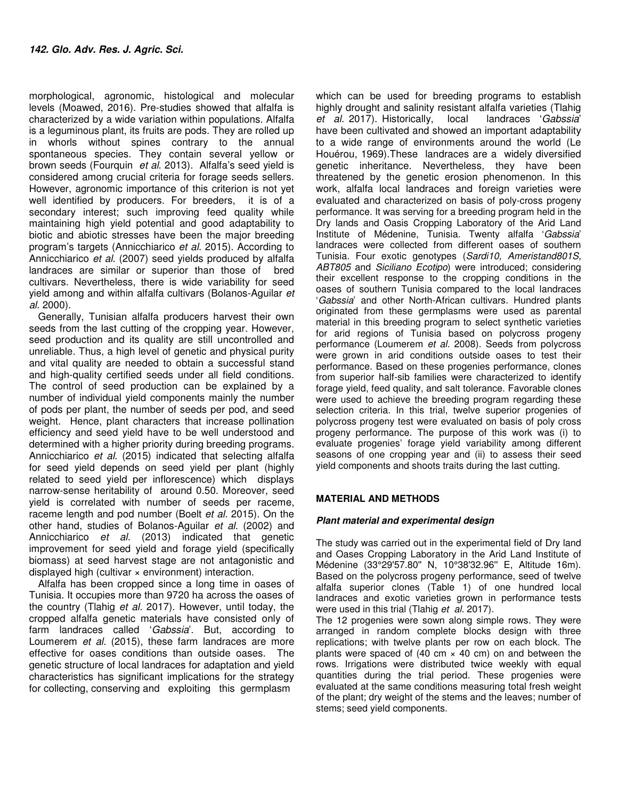morphological, agronomic, histological and molecular levels (Moawed, 2016). Pre-studies showed that alfalfa is characterized by a wide variation within populations. Alfalfa is a leguminous plant, its fruits are pods. They are rolled up in whorls without spines contrary to the annual spontaneous species. They contain several yellow or brown seeds (Fourquin et al. 2013). Alfalfa's seed yield is considered among crucial criteria for forage seeds sellers. However, agronomic importance of this criterion is not yet well identified by producers. For breeders, it is of a secondary interest; such improving feed quality while maintaining high yield potential and good adaptability to biotic and abiotic stresses have been the major breeding program's targets (Annicchiarico et al. 2015). According to Annicchiarico et al. (2007) seed yields produced by alfalfa landraces are similar or superior than those of bred cultivars. Nevertheless, there is wide variability for seed yield among and within alfalfa cultivars (Bolanos-Aguilar et al. 2000).

Generally, Tunisian alfalfa producers harvest their own seeds from the last cutting of the cropping year. However, seed production and its quality are still uncontrolled and unreliable. Thus, a high level of genetic and physical purity and vital quality are needed to obtain a successful stand and high-quality certified seeds under all field conditions. The control of seed production can be explained by a number of individual yield components mainly the number of pods per plant, the number of seeds per pod, and seed weight. Hence, plant characters that increase pollination efficiency and seed yield have to be well understood and determined with a higher priority during breeding programs. Annicchiarico et al. (2015) indicated that selecting alfalfa for seed yield depends on seed yield per plant (highly related to seed yield per inflorescence) which displays narrow-sense heritability of around 0.50. Moreover, seed yield is correlated with number of seeds per raceme, raceme length and pod number (Boelt et al. 2015). On the other hand, studies of Bolanos-Aguilar et al. (2002) and Annicchiarico et al. (2013) indicated that genetic improvement for seed yield and forage yield (specifically biomass) at seed harvest stage are not antagonistic and displayed high (cultivar  $\times$  environment) interaction.

Alfalfa has been cropped since a long time in oases of Tunisia. It occupies more than 9720 ha across the oases of the country (Tlahig et al. 2017). However, until today, the cropped alfalfa genetic materials have consisted only of farm landraces called 'Gabssia'. But, according to Loumerem et al. (2015), these farm landraces are more effective for oases conditions than outside oases. The genetic structure of local landraces for adaptation and yield characteristics has significant implications for the strategy for collecting, conserving and exploiting this germplasm

which can be used for breeding programs to establish highly drought and salinity resistant alfalfa varieties (Tlahig et al. 2017). Historically, local landraces 'Gabssia' have been cultivated and showed an important adaptability to a wide range of environments around the world (Le Houérou, 1969).These landraces are a widely diversified genetic inheritance. Nevertheless, they have been threatened by the genetic erosion phenomenon. In this work, alfalfa local landraces and foreign varieties were evaluated and characterized on basis of poly-cross progeny performance. It was serving for a breeding program held in the Dry lands and Oasis Cropping Laboratory of the Arid Land Institute of Médenine, Tunisia. Twenty alfalfa 'Gabssia' landraces were collected from different oases of southern Tunisia. Four exotic genotypes (Sardi10, Ameristand801S, ABT805 and Siciliano Ecotipo) were introduced; considering their excellent response to the cropping conditions in the oases of southern Tunisia compared to the local landraces 'Gabssia' and other North-African cultivars. Hundred plants originated from these germplasms were used as parental material in this breeding program to select synthetic varieties for arid regions of Tunisia based on polycross progeny performance (Loumerem et al. 2008). Seeds from polycross were grown in arid conditions outside oases to test their performance. Based on these progenies performance, clones from superior half-sib families were characterized to identify forage yield, feed quality, and salt tolerance. Favorable clones were used to achieve the breeding program regarding these selection criteria. In this trial, twelve superior progenies of polycross progeny test were evaluated on basis of poly cross progeny performance. The purpose of this work was (i) to evaluate progenies' forage yield variability among different seasons of one cropping year and (ii) to assess their seed yield components and shoots traits during the last cutting.

#### **MATERIAL AND METHODS**

#### **Plant material and experimental design**

The study was carried out in the experimental field of Dry land and Oases Cropping Laboratory in the Arid Land Institute of Médenine (33°29'57.80'' N, 10°38'32.96'' E, Altitude 16m). Based on the polycross progeny performance, seed of twelve alfalfa superior clones (Table 1) of one hundred local landraces and exotic varieties grown in performance tests were used in this trial (Tlahig et al. 2017).

The 12 progenies were sown along simple rows. They were arranged in random complete blocks design with three replications; with twelve plants per row on each block. The plants were spaced of (40 cm  $\times$  40 cm) on and between the rows. Irrigations were distributed twice weekly with equal quantities during the trial period. These progenies were evaluated at the same conditions measuring total fresh weight of the plant; dry weight of the stems and the leaves; number of stems; seed yield components.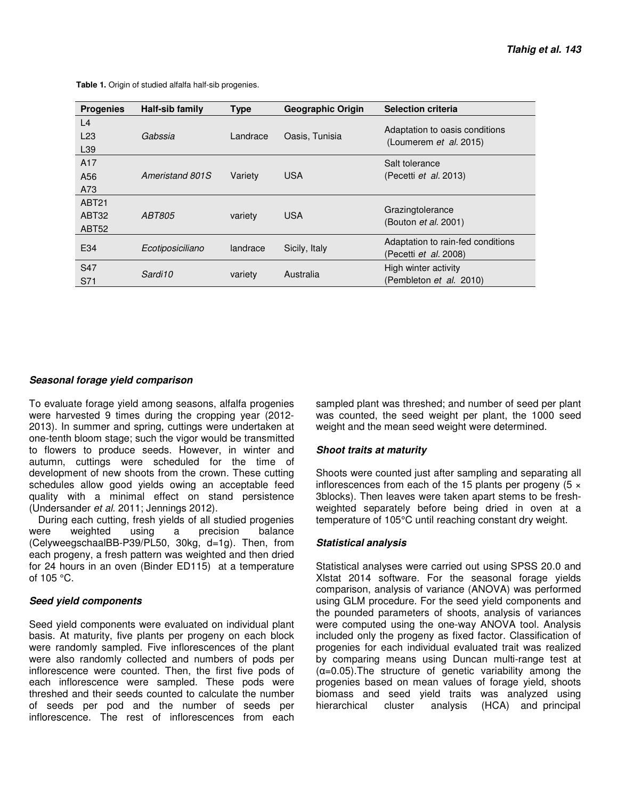| <b>Progenies</b>  | Half-sib family  | <b>Type</b> | <b>Geographic Origin</b> | <b>Selection criteria</b>                                |
|-------------------|------------------|-------------|--------------------------|----------------------------------------------------------|
| L <sub>4</sub>    |                  |             |                          |                                                          |
| L23               | Gabssia          | Landrace    | Oasis, Tunisia           | Adaptation to oasis conditions<br>(Loumerem et al. 2015) |
| L <sub>39</sub>   |                  |             |                          |                                                          |
| A <sub>17</sub>   |                  |             |                          | Salt tolerance                                           |
| A56               | Ameristand 801S  | Variety     | <b>USA</b>               | (Pecetti et al. 2013)                                    |
| A73               |                  |             |                          |                                                          |
| <b>ABT21</b>      |                  |             |                          |                                                          |
| ABT32             | <i>ABT805</i>    | variety     | <b>USA</b>               | Grazingtolerance                                         |
| ABT <sub>52</sub> |                  |             |                          | (Bouton <i>et al.</i> 2001)                              |
|                   |                  |             |                          | Adaptation to rain-fed conditions                        |
| E34               | Ecotiposiciliano | landrace    | Sicily, Italy            | (Pecetti et al. 2008)                                    |
| S <sub>47</sub>   |                  |             |                          | High winter activity                                     |
| S71               | Sardi10          | variety     | Australia                | (Pembleton et al. 2010)                                  |
|                   |                  |             |                          |                                                          |

 **Table 1.** Origin of studied alfalfa half-sib progenies.

#### **Seasonal forage yield comparison**

To evaluate forage yield among seasons, alfalfa progenies were harvested 9 times during the cropping year (2012- 2013). In summer and spring, cuttings were undertaken at one-tenth bloom stage; such the vigor would be transmitted to flowers to produce seeds. However, in winter and autumn, cuttings were scheduled for the time of development of new shoots from the crown. These cutting schedules allow good yields owing an acceptable feed quality with a minimal effect on stand persistence (Undersander et al. 2011; Jennings 2012).

During each cutting, fresh yields of all studied progenies were weighted using a precision balance (CelyweegschaalBB-P39/PL50, 30kg, d=1g). Then, from each progeny, a fresh pattern was weighted and then dried for 24 hours in an oven (Binder ED115) at a temperature of 105 °C.

#### **Seed yield components**

Seed yield components were evaluated on individual plant basis. At maturity, five plants per progeny on each block were randomly sampled. Five inflorescences of the plant were also randomly collected and numbers of pods per inflorescence were counted. Then, the first five pods of each inflorescence were sampled. These pods were threshed and their seeds counted to calculate the number of seeds per pod and the number of seeds per inflorescence. The rest of inflorescences from each

sampled plant was threshed; and number of seed per plant was counted, the seed weight per plant, the 1000 seed weight and the mean seed weight were determined.

### **Shoot traits at maturity**

Shoots were counted just after sampling and separating all inflorescences from each of the 15 plants per progeny  $(5 \times$ 3blocks). Then leaves were taken apart stems to be freshweighted separately before being dried in oven at a temperature of 105°C until reaching constant dry weight.

#### **Statistical analysis**

Statistical analyses were carried out using SPSS 20.0 and Xlstat 2014 software. For the seasonal forage yields comparison, analysis of variance (ANOVA) was performed using GLM procedure. For the seed yield components and the pounded parameters of shoots, analysis of variances were computed using the one-way ANOVA tool. Analysis included only the progeny as fixed factor. Classification of progenies for each individual evaluated trait was realized by comparing means using Duncan multi-range test at  $(\alpha=0.05)$ . The structure of genetic variability among the progenies based on mean values of forage yield, shoots biomass and seed yield traits was analyzed using hierarchical cluster analysis (HCA) and principal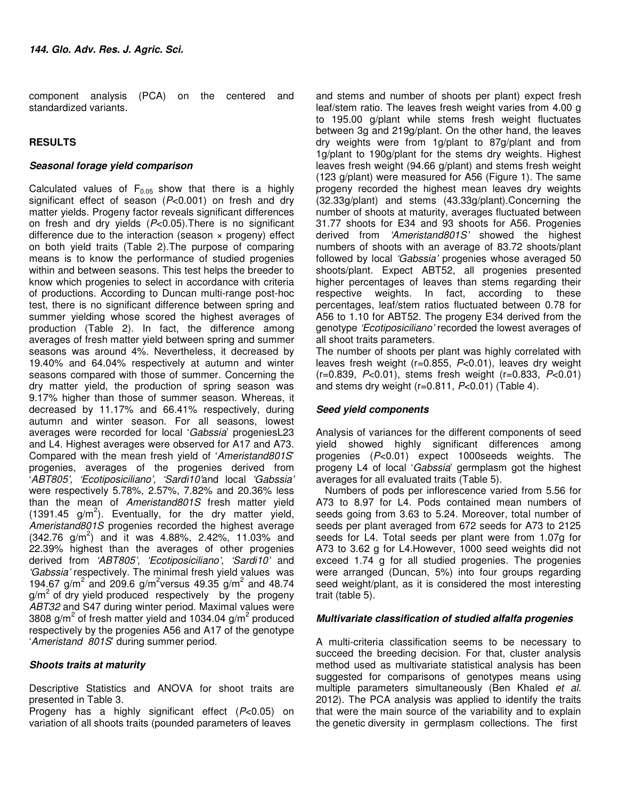component analysis (PCA) on the centered and standardized variants.

#### **RESULTS**

#### **Seasonal forage yield comparison**

Calculated values of  $F_{0.05}$  show that there is a highly significant effect of season  $(P<0.001)$  on fresh and dry matter yields. Progeny factor reveals significant differences on fresh and dry yields  $(P<0.05)$ . There is no significant difference due to the interaction (season  $\times$  progeny) effect on both yield traits (Table 2).The purpose of comparing means is to know the performance of studied progenies within and between seasons. This test helps the breeder to know which progenies to select in accordance with criteria of productions. According to Duncan multi-range post-hoc test, there is no significant difference between spring and summer yielding whose scored the highest averages of production (Table 2). In fact, the difference among averages of fresh matter yield between spring and summer seasons was around 4%. Nevertheless, it decreased by 19.40% and 64.04% respectively at autumn and winter seasons compared with those of summer. Concerning the dry matter yield, the production of spring season was 9.17% higher than those of summer season. Whereas, it decreased by 11.17% and 66.41% respectively, during autumn and winter season. For all seasons, lowest averages were recorded for local 'Gabssia' progeniesL23 and L4. Highest averages were observed for A17 and A73. Compared with the mean fresh yield of 'Ameristand801S' progenies, averages of the progenies derived from 'ABT805', 'Ecotiposiciliano', 'Sardi10'and local 'Gabssia' were respectively 5.78%, 2.57%, 7.82% and 20.36% less than the mean of Ameristand801S fresh matter yield  $(1391.45 \text{ g/m}^2)$ . Eventually, for the dry matter yield, Ameristand801S progenies recorded the highest average  $(342.76 \text{ g/m}^2)$  and it was 4.88%, 2.42%, 11.03% and 22.39% highest than the averages of other progenies derived from 'ABT805', 'Ecotiposiciliano', 'Sardi10' and 'Gabssia' respectively. The minimal fresh yield values was 194.67 g/m<sup>2</sup> and 209.6 g/m<sup>2</sup> versus 49.35 g/m<sup>2</sup> and 48.74 g/m<sup>2</sup> of dry yield produced respectively by the progeny ABT32 and S47 during winter period. Maximal values were 3808 g/m<sup>2</sup> of fresh matter yield and 1034.04 g/m<sup>2</sup> produced respectively by the progenies A56 and A17 of the genotype 'Ameristand 801S' during summer period.

#### **Shoots traits at maturity**

Descriptive Statistics and ANOVA for shoot traits are presented in Table 3.

Progeny has a highly significant effect (P<0.05) on variation of all shoots traits (pounded parameters of leaves

and stems and number of shoots per plant) expect fresh leaf/stem ratio. The leaves fresh weight varies from 4.00 g to 195.00 g/plant while stems fresh weight fluctuates between 3g and 219g/plant. On the other hand, the leaves dry weights were from 1g/plant to 87g/plant and from 1g/plant to 190g/plant for the stems dry weights. Highest leaves fresh weight (94.66 g/plant) and stems fresh weight (123 g/plant) were measured for A56 (Figure 1). The same progeny recorded the highest mean leaves dry weights (32.33g/plant) and stems (43.33g/plant).Concerning the number of shoots at maturity, averages fluctuated between 31.77 shoots for E34 and 93 shoots for A56. Progenies derived from 'Ameristand801S' showed the highest numbers of shoots with an average of 83.72 shoots/plant followed by local 'Gabssia' progenies whose averaged 50 shoots/plant. Expect ABT52, all progenies presented higher percentages of leaves than stems regarding their respective weights. In fact, according to these percentages, leaf/stem ratios fluctuated between 0.78 for A56 to 1.10 for ABT52. The progeny E34 derived from the genotype 'Ecotiposiciliano' recorded the lowest averages of all shoot traits parameters.

The number of shoots per plant was highly correlated with leaves fresh weight (r=0.855, P<0.01), leaves dry weight  $(r=0.839, P<0.01)$ , stems fresh weight  $(r=0.833, P<0.01)$ and stems dry weight  $(r=0.811, P<0.01)$  (Table 4).

#### **Seed yield components**

Analysis of variances for the different components of seed yield showed highly significant differences among progenies (P<0.01) expect 1000seeds weights. The progeny L4 of local 'Gabssia' germplasm got the highest averages for all evaluated traits (Table 5).

Numbers of pods per inflorescence varied from 5.56 for A73 to 8.97 for L4. Pods contained mean numbers of seeds going from 3.63 to 5.24. Moreover, total number of seeds per plant averaged from 672 seeds for A73 to 2125 seeds for L4. Total seeds per plant were from 1.07g for A73 to 3.62 g for L4.However, 1000 seed weights did not exceed 1.74 g for all studied progenies. The progenies were arranged (Duncan, 5%) into four groups regarding seed weight/plant, as it is considered the most interesting trait (table 5).

#### **Multivariate classification of studied alfalfa progenies**

A multi-criteria classification seems to be necessary to succeed the breeding decision. For that, cluster analysis method used as multivariate statistical analysis has been suggested for comparisons of genotypes means using multiple parameters simultaneously (Ben Khaled et al. 2012). The PCA analysis was applied to identify the traits that were the main source of the variability and to explain the genetic diversity in germplasm collections. The first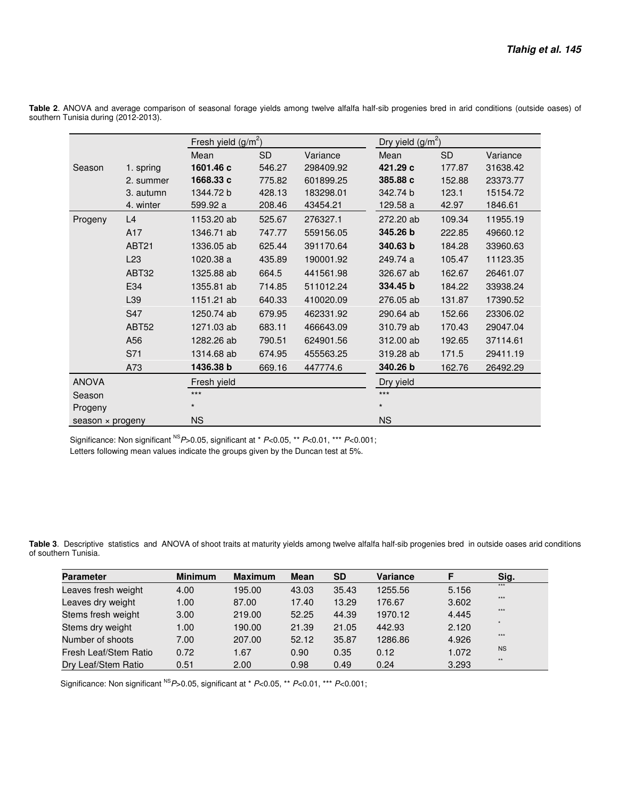|                  |                   | Fresh yield $(g/m^2)$ |           |           |           | Dry yield $(g/m^2)$ |          |  |  |  |
|------------------|-------------------|-----------------------|-----------|-----------|-----------|---------------------|----------|--|--|--|
|                  |                   | Mean                  | <b>SD</b> | Variance  | Mean      | <b>SD</b>           | Variance |  |  |  |
| Season           | 1. spring         | 1601.46 c             | 546.27    | 298409.92 | 421.29 c  | 177.87              | 31638.42 |  |  |  |
|                  | 2. summer         | 1668.33 c             | 775.82    | 601899.25 | 385.88 c  | 152.88              | 23373.77 |  |  |  |
|                  | 3. autumn         | 1344.72 b             | 428.13    | 183298.01 | 342.74 b  | 123.1               | 15154.72 |  |  |  |
|                  | 4. winter         | 599.92 a              | 208.46    | 43454.21  | 129.58 a  | 42.97               | 1846.61  |  |  |  |
| Progeny          | L4                | 1153.20 ab            | 525.67    | 276327.1  | 272.20 ab | 109.34              | 11955.19 |  |  |  |
|                  | A17               | 1346.71 ab            | 747.77    | 559156.05 | 345.26 b  | 222.85              | 49660.12 |  |  |  |
|                  | ABT <sub>21</sub> | 1336.05 ab            | 625.44    | 391170.64 | 340.63 b  | 184.28              | 33960.63 |  |  |  |
|                  | L23               | 1020.38 a             | 435.89    | 190001.92 | 249.74 a  | 105.47              | 11123.35 |  |  |  |
|                  | ABT32             | 1325.88 ab            | 664.5     | 441561.98 | 326.67 ab | 162.67              | 26461.07 |  |  |  |
|                  | E34               | 1355.81 ab            | 714.85    | 511012.24 | 334.45 b  | 184.22              | 33938.24 |  |  |  |
|                  | L39               | 1151.21 ab            | 640.33    | 410020.09 | 276.05 ab | 131.87              | 17390.52 |  |  |  |
|                  | S47               | 1250.74 ab            | 679.95    | 462331.92 | 290.64 ab | 152.66              | 23306.02 |  |  |  |
|                  | ABT <sub>52</sub> | 1271.03 ab            | 683.11    | 466643.09 | 310.79 ab | 170.43              | 29047.04 |  |  |  |
|                  | A56               | 1282.26 ab            | 790.51    | 624901.56 | 312.00 ab | 192.65              | 37114.61 |  |  |  |
|                  | S71               | 1314.68 ab            | 674.95    | 455563.25 | 319.28 ab | 171.5               | 29411.19 |  |  |  |
|                  | A73               | 1436.38 b             | 669.16    | 447774.6  | 340.26 b  | 162.76              | 26492.29 |  |  |  |
| <b>ANOVA</b>     |                   | Fresh yield           |           |           | Dry yield |                     |          |  |  |  |
| Season           |                   | $***$                 |           |           | $***$     |                     |          |  |  |  |
| Progeny          |                   | $\star$               |           |           | $\star$   |                     |          |  |  |  |
| season × progeny |                   | <b>NS</b>             |           |           | <b>NS</b> |                     |          |  |  |  |

**Table 2**. ANOVA and average comparison of seasonal forage yields among twelve alfalfa half-sib progenies bred in arid conditions (outside oases) of southern Tunisia during (2012-2013).

Significance: Non significant <sup>NS</sup>P>0.05, significant at \* P<0.05, \*\* P<0.01, \*\*\* P<0.001; Letters following mean values indicate the groups given by the Duncan test at 5%.

**Table 3**. Descriptive statistics and ANOVA of shoot traits at maturity yields among twelve alfalfa half-sib progenies bred in outside oases arid conditions of southern Tunisia.

| <b>Parameter</b>      | <b>Minimum</b> | <b>Maximum</b> | <b>Mean</b> | <b>SD</b> | <b>Variance</b> | F     | Sig.         |
|-----------------------|----------------|----------------|-------------|-----------|-----------------|-------|--------------|
| Leaves fresh weight   | 4.00           | 195.00         | 43.03       | 35.43     | 1255.56         | 5.156 | $***$        |
| Leaves dry weight     | 1.00           | 87.00          | 17.40       | 13.29     | 176.67          | 3.602 | $***$        |
| Stems fresh weight    | 3.00           | 219.00         | 52.25       | 44.39     | 1970.12         | 4.445 | $***$        |
| Stems dry weight      | 1.00           | 190.00         | 21.39       | 21.05     | 442.93          | 2.120 | $\ddot{}$    |
| Number of shoots      | 7.00           | 207.00         | 52.12       | 35.87     | 1286.86         | 4.926 | $***$        |
| Fresh Leaf/Stem Ratio | 0.72           | 1.67           | 0.90        | 0.35      | 0.12            | 1.072 | <b>NS</b>    |
| Dry Leaf/Stem Ratio   | 0.51           | 2.00           | 0.98        | 0.49      | 0.24            | 3.293 | $\star\star$ |

Significance: Non significant <sup>NS</sup>P>0.05, significant at \* P<0.05, \*\* P<0.01, \*\*\* P<0.001;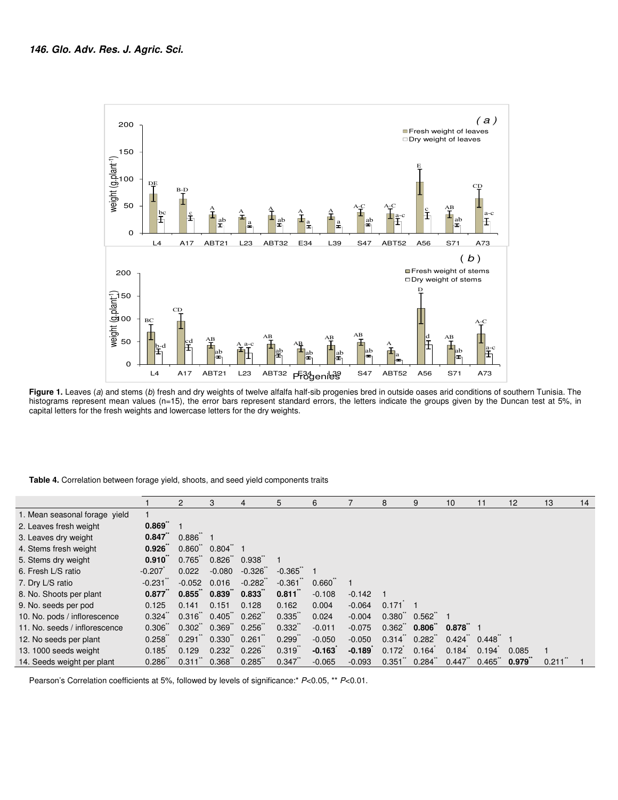

**Figure 1.** Leaves (a) and stems (b) fresh and dry weights of twelve alfalfa half-sib progenies bred in outside oases arid conditions of southern Tunisia. The histograms represent mean values (n=15), the error bars represent standard errors, the letters indicate the groups given by the Duncan test at 5%, in capital letters for the fresh weights and lowercase letters for the dry weights.

#### **Table 4.** Correlation between forage yield, shoots, and seed yield components traits

|                               |                   |                                  | З                                |          | 5        | 6               |          | 8                    | 9                 | 10                  | 11                   | 12    | 13    | 14 |
|-------------------------------|-------------------|----------------------------------|----------------------------------|----------|----------|-----------------|----------|----------------------|-------------------|---------------------|----------------------|-------|-------|----|
| 1. Mean seasonal forage yield |                   |                                  |                                  |          |          |                 |          |                      |                   |                     |                      |       |       |    |
| 2. Leaves fresh weight        | 0.869             |                                  |                                  |          |          |                 |          |                      |                   |                     |                      |       |       |    |
| 3. Leaves dry weight          | 0.847             | $0.886$ 1                        |                                  |          |          |                 |          |                      |                   |                     |                      |       |       |    |
| 4. Stems fresh weight         | $0.926^{n}$       | 0.860                            | 0.804                            |          |          |                 |          |                      |                   |                     |                      |       |       |    |
| 5. Stems dry weight           | $0.910^{n}$       | 0.765                            | $0.826$ $0.938$                  |          |          |                 |          |                      |                   |                     |                      |       |       |    |
| 6. Fresh L/S ratio            | $-0.207$          | 0.022                            | $-0.080$                         | $-0.326$ | $-0.365$ |                 |          |                      |                   |                     |                      |       |       |    |
| 7. Dry L/S ratio              | $-0.231$          | $-0.052$                         | 0.016                            | $-0.282$ | $-0.361$ | $0.660^{\circ}$ |          |                      |                   |                     |                      |       |       |    |
| 8. No. Shoots per plant       | 0.877             | $0.855^{\circ}$ 0.839 $^{\circ}$ |                                  | 0.833    | 0.811    | $-0.108$        | $-0.142$ |                      |                   |                     |                      |       |       |    |
| 9. No. seeds per pod          | 0.125             | 0.141                            | 0.151                            | 0.128    | 0.162    | 0.004           | $-0.064$ | 0.171                |                   |                     |                      |       |       |    |
| 10. No. pods / inflorescence  | 0.324             |                                  | $0.316$ $0.405$ $0.262$          |          | 0.335    | 0.024           | $-0.004$ | 0.380                | 0.562             |                     |                      |       |       |    |
| 11. No. seeds / inflorescence | 0.306             | $0.302^{\circ}$ 0.369            |                                  | 0.256    | 0.332    | $-0.011$        | $-0.075$ | 0.362                | $0.806^{\degree}$ | $0.878^{\circ}$ 1   |                      |       |       |    |
| 12. No seeds per plant        | 0.258             | $0.291$ $0.330$                  |                                  | 0.261    | 0.299    | $-0.050$        | $-0.050$ | $0.314$ <sup>*</sup> | 0.282             | $0.424$ $0.448$ $1$ |                      |       |       |    |
| 13. 1000 seeds weight         | 0.185             | 0.129                            | $0.232^{\circ}$ 0.226 $^{\circ}$ |          | 0.319    | $-0.163$        | $-0.189$ | 0.172                | 0.164             | 0.184               | 0.194                | 0.085 |       |    |
| 14. Seeds weight per plant    | $0.286^{\degree}$ | 0.311                            | $0.368^{\degree}$                | 0.285    | 0.347    | $-0.065$        | $-0.093$ | 0.351                | 0.284             | 0.447               | $0.465$ <sup>*</sup> | 0.979 | 0.211 |    |

Pearson's Correlation coefficients at 5%, followed by levels of significance:\*  $P<0.05$ , \*\*  $P<0.01$ .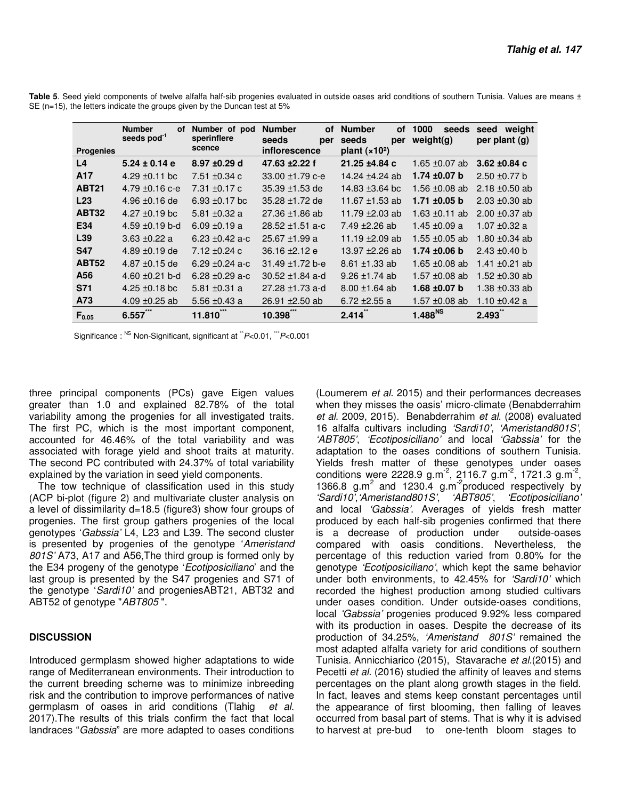| <b>Progenies</b> | <b>Number</b><br>οf<br>seeds pod <sup>-1</sup> | Number of pod<br>sperinflere<br>scence | <b>Number</b><br>οf<br>seeds<br>per<br>inflorescence | <b>Number</b><br><b>of</b><br>seeds<br>per<br>plant $(x102)$ | 1000<br>seeds<br>weight(g) | weight<br>seed<br>per plant (g) |
|------------------|------------------------------------------------|----------------------------------------|------------------------------------------------------|--------------------------------------------------------------|----------------------------|---------------------------------|
| L <sub>4</sub>   | $5.24 \pm 0.14$ e                              | 8.97 ±0.29 d                           | 47.63 ±2.22 f                                        | 21.25 ±4.84 c                                                | 1.65 $\pm$ 0.07 ab         | 3.62 $\pm 0.84$ c               |
| A17              | 4.29 $\pm$ 0.11 bc                             | 7.51 $\pm$ 0.34 c                      | $33.00 + 1.79$ c-e                                   | 14.24 ±4.24 ab                                               | 1.74 $\pm 0.07$ b          | $2.50 \pm 0.77$ b               |
| <b>ABT21</b>     | 4.79 $\pm$ 0.16 c-e                            | 7.31 $\pm$ 0.17 c                      | 35.39 ±1.53 de                                       | 14.83 $\pm$ 3.64 bc                                          | 1.56 $\pm 0.08$ ab         | 2.18 $\pm$ 0.50 ab              |
| L23              | $4.96 \pm 0.16$ de                             | 6.93 $\pm$ 0.17 bc                     | 35.28 ±1.72 de                                       | 11.67 ±1.53 ab                                               | $1.71 \pm 0.05$ b          | $2.03 \pm 0.30$ ab              |
| <b>ABT32</b>     | $4.27 \pm 0.19$ bc                             | 5.81 $\pm$ 0.32 a                      | $27.36 \pm 1.86$ ab                                  | 11.79 $\pm$ 2.03 ab                                          | 1.63 $\pm$ 0.11 ab         | $2.00 \pm 0.37$ ab              |
| E34              | $4.59 \pm 0.19$ b-d                            | $6.09 \pm 0.19 a$                      | $28.52 \pm 1.51$ a-c                                 | 7.49 $\pm$ 2.26 ab                                           | 1.45 $\pm$ 0.09 a          | 1.07 $\pm$ 0.32 a               |
| L39              | 3.63 $\pm$ 0.22 a                              | 6.23 $\pm$ 0.42 a-c                    | $25.67 \pm 1.99$ a                                   | 11.19 $\pm$ 2.09 ab                                          | 1.55 $\pm$ 0.05 ab         | 1.80 $\pm$ 0.34 ab              |
| <b>S47</b>       | 4.89 $\pm$ 0.19 de                             | $7.12 \pm 0.24$ c                      | $36.16 \pm 2.12 e$                                   | 13.97 ±2.26 ab                                               | $1.74 \pm 0.06$ b          | $2.43 \pm 0.40$ b               |
| <b>ABT52</b>     | 4.87 $\pm$ 0.15 de                             | 6.29 $\pm$ 0.24 a-c                    | 31.49 ±1.72 b-e                                      | $8.61 \pm 1.33$ ab                                           | 1.65 $\pm$ 0.08 ab         | 1.41 $\pm$ 0.21 ab              |
| A56              | 4.60 $\pm$ 0.21 b-d                            | 6.28 $\pm$ 0.29 a-c                    | $30.52 \pm 1.84$ a-d                                 | $9.26 \pm 1.74$ ab                                           | 1.57 $\pm$ 0.08 ab         | 1.52 $\pm$ 0.30 ab              |
| <b>S71</b>       | 4.25 $\pm$ 0.18 bc                             | 5.81 $\pm$ 0.31 a                      | 27.28 $\pm$ 1.73 a-d                                 | $8.00 \pm 1.64$ ab                                           | 1.68 $\pm 0.07$ b          | 1.38 $\pm$ 0.33 ab              |
| A73              | 4.09 $\pm$ 0.25 ab                             | 5.56 $\pm$ 0.43 a                      | $26.91 \pm 2.50$ ab                                  | 6.72 $\pm$ 2.55 a                                            | 1.57 ±0.08 ab              | 1.10 ±0.42 a                    |
| $F_{0.05}$       | 6.557                                          | 11.810                                 | 10.398                                               | 2.414                                                        | 1.488 <sup>NS</sup>        | 2.493                           |

**Table 5**. Seed yield components of twelve alfalfa half-sib progenies evaluated in outside oases arid conditions of southern Tunisia. Values are means ± SE (n=15), the letters indicate the groups given by the Duncan test at 5%

Significance: NS Non-Significant, significant at  $\degree$ P<0.01,  $\degree$ P<0.001

three principal components (PCs) gave Eigen values greater than 1.0 and explained 82.78% of the total variability among the progenies for all investigated traits. The first PC, which is the most important component, accounted for 46.46% of the total variability and was associated with forage yield and shoot traits at maturity. The second PC contributed with 24.37% of total variability explained by the variation in seed yield components.

The tow technique of classification used in this study (ACP bi-plot (figure 2) and multivariate cluster analysis on a level of dissimilarity d=18.5 (figure3) show four groups of progenies. The first group gathers progenies of the local genotypes 'Gabssia' L4, L23 and L39. The second cluster is presented by progenies of the genotype 'Ameristand 801S' A73, A17 and A56,The third group is formed only by the E34 progeny of the genotype 'Ecotiposiciliano' and the last group is presented by the S47 progenies and S71 of the genotype 'Sardi10' and progeniesABT21, ABT32 and ABT52 of genotype "ABT805".

#### **DISCUSSION**

Introduced germplasm showed higher adaptations to wide range of Mediterranean environments. Their introduction to the current breeding scheme was to minimize inbreeding risk and the contribution to improve performances of native germplasm of oases in arid conditions (Tlahig et al. 2017).The results of this trials confirm the fact that local landraces "*Gabssia*" are more adapted to oases conditions (Loumerem et al. 2015) and their performances decreases when they misses the oasis' micro-climate (Benabderrahim et al. 2009, 2015). Benabderrahim et al. (2008) evaluated 16 alfalfa cultivars including 'Sardi10', 'Ameristand801S', 'ABT805', 'Ecotiposiciliano' and local 'Gabssia' for the adaptation to the oases conditions of southern Tunisia. Yields fresh matter of these genotypes under oases conditions were 2228.9 g.m<sup>-2</sup>, 2116.7 g.m<sup>-2</sup>, 1721.3 g.m<sup>-2</sup>, 1366.8 g.m<sup>2</sup> and 1230.4 g.m<sup>-2</sup>produced respectively by 'Sardi10','Ameristand801S', 'ABT805', 'Ecotiposiciliano' and local 'Gabssia'. Averages of yields fresh matter produced by each half-sib progenies confirmed that there is a decrease of production under outside-oases compared with oasis conditions. Nevertheless, the percentage of this reduction varied from 0.80% for the genotype 'Ecotiposiciliano', which kept the same behavior under both environments, to 42.45% for 'Sardi10' which recorded the highest production among studied cultivars under oases condition. Under outside-oases conditions, local 'Gabssia' progenies produced 9.92% less compared with its production in oases. Despite the decrease of its production of 34.25%, 'Ameristand 801S' remained the most adapted alfalfa variety for arid conditions of southern Tunisia. Annicchiarico (2015), Stavarache et al.(2015) and Pecetti et al. (2016) studied the affinity of leaves and stems percentages on the plant along growth stages in the field. In fact, leaves and stems keep constant percentages until the appearance of first blooming, then falling of leaves occurred from basal part of stems. That is why it is advised to harvest at pre-bud to one-tenth bloom stages to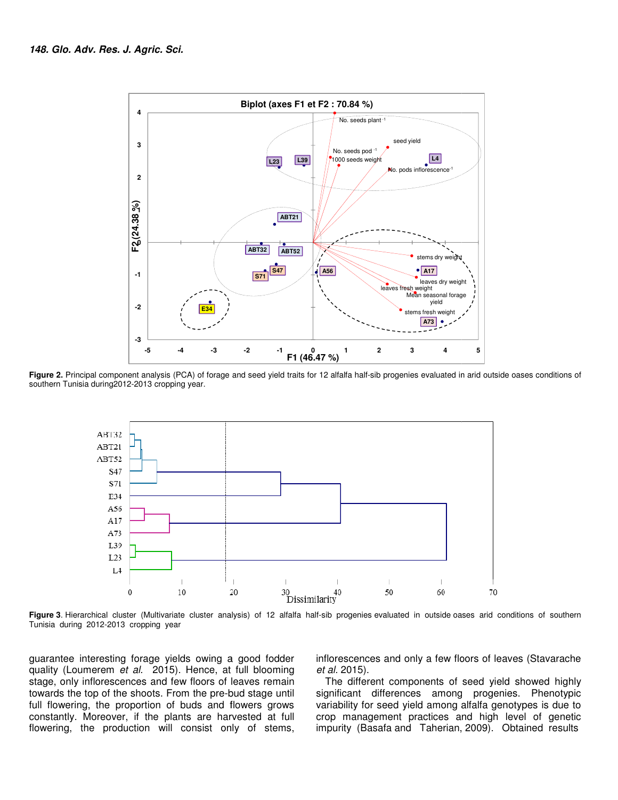

Figure 2. Principal component analysis (PCA) of forage and seed yield traits for 12 alfalfa half-sib progenies evaluated in arid outside oases conditions of southern Tunisia during2012-2013 cropping year.



**Figure 3**. Hierarchical cluster (Multivariate cluster analysis) of 12 alfalfa half-sib progenies evaluated in outside oases Tunisia during 2012-2013 cropping year

guarantee interesting forage yields owing a good fo fodder quality (Loumerem et al. 2015). Hence, at full blooming stage, only inflorescences and few floors of leaves remain towards the top of the shoots. From the pre-bud stage until towards the top of the shoots. From the pre-bud stage until<br>full flowering, the proportion of buds and flowers grows constantly. Moreover, if the plants are harvested at full flowering, the production will consist only of stems, f al. 2015). Hence, at full blooming the inflorescences and only a few floors of leaves t al. 2015). Hence, at full blooming the al. 2015).<br>
Inces and few floors of leaves remain The different components of seed yield st<br>

et al. 2015). inflorescences and only a few floors of leaves (Stavarache

The different components of seed yield showed highly The different components of seed yield showed highly<br>significant differences among progenies. Phenotypic variability for seed yield among alfalfa genotypes is due to crop management practices and high level of genetic impurity (Basafa and Taherian, 2009). variability for seed yield among alfalfa genotypes is due to<br>crop management practices and high level of genetic<br>impurity (Basafa and Taherian, 2009). Obtained results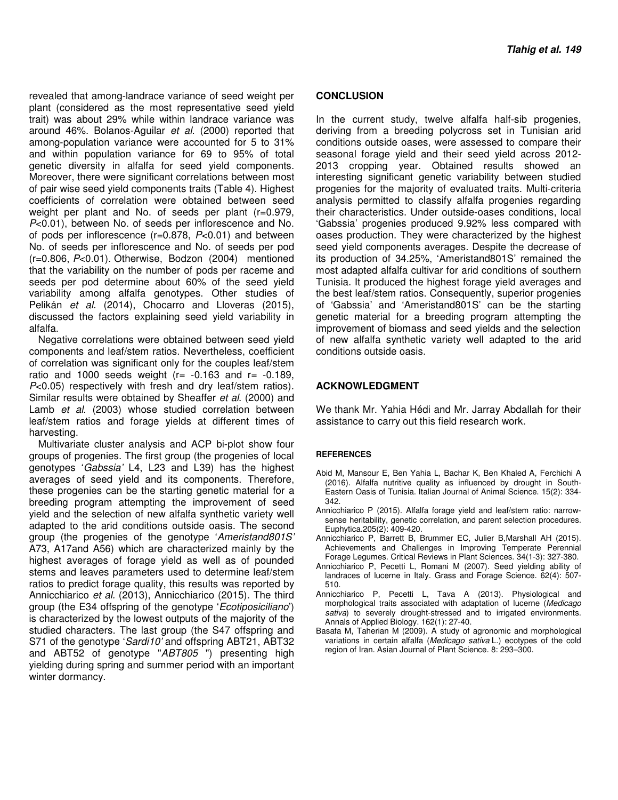revealed that among-landrace variance of seed weight per plant (considered as the most representative seed yield trait) was about 29% while within landrace variance was around 46%. Bolanos-Aguilar et al. (2000) reported that among-population variance were accounted for 5 to 31% and within population variance for 69 to 95% of total genetic diversity in alfalfa for seed yield components. Moreover, there were significant correlations between most of pair wise seed yield components traits (Table 4). Highest coefficients of correlation were obtained between seed weight per plant and No. of seeds per plant (r=0.979, P<0.01), between No. of seeds per inflorescence and No. of pods per inflorescence (r=0.878, P<0.01) and between No. of seeds per inflorescence and No. of seeds per pod (r=0.806, P<0.01). Otherwise, Bodzon (2004) mentioned that the variability on the number of pods per raceme and seeds per pod determine about 60% of the seed yield variability among alfalfa genotypes. Other studies of Pelikán et al. (2014), Chocarro and Lloveras (2015), discussed the factors explaining seed yield variability in alfalfa.

Negative correlations were obtained between seed yield components and leaf/stem ratios. Nevertheless, coefficient of correlation was significant only for the couples leaf/stem ratio and 1000 seeds weight  $(r= -0.163$  and  $r= -0.189$ , P<0.05) respectively with fresh and dry leaf/stem ratios). Similar results were obtained by Sheaffer et al. (2000) and Lamb et al. (2003) whose studied correlation between leaf/stem ratios and forage yields at different times of harvesting.

Multivariate cluster analysis and ACP bi-plot show four groups of progenies. The first group (the progenies of local genotypes 'Gabssia' L4, L23 and L39) has the highest averages of seed yield and its components. Therefore, these progenies can be the starting genetic material for a breeding program attempting the improvement of seed yield and the selection of new alfalfa synthetic variety well adapted to the arid conditions outside oasis. The second group (the progenies of the genotype 'Ameristand801S' A73, A17and A56) which are characterized mainly by the highest averages of forage yield as well as of pounded stems and leaves parameters used to determine leaf/stem ratios to predict forage quality, this results was reported by Annicchiarico et al. (2013), Annicchiarico (2015). The third group (the E34 offspring of the genotype 'Ecotiposiciliano') is characterized by the lowest outputs of the majority of the studied characters. The last group (the S47 offspring and S71 of the genotype 'Sardi10' and offspring ABT21, ABT32 and ABT52 of genotype "ABT805") presenting high yielding during spring and summer period with an important winter dormancy.

#### **CONCLUSION**

In the current study, twelve alfalfa half-sib progenies, deriving from a breeding polycross set in Tunisian arid conditions outside oases, were assessed to compare their seasonal forage yield and their seed yield across 2012- 2013 cropping year. Obtained results showed an interesting significant genetic variability between studied progenies for the majority of evaluated traits. Multi-criteria analysis permitted to classify alfalfa progenies regarding their characteristics. Under outside-oases conditions, local 'Gabssia' progenies produced 9.92% less compared with oases production. They were characterized by the highest seed yield components averages. Despite the decrease of its production of 34.25%, 'Ameristand801S' remained the most adapted alfalfa cultivar for arid conditions of southern Tunisia. It produced the highest forage yield averages and the best leaf/stem ratios. Consequently, superior progenies of 'Gabssia' and 'Ameristand801S' can be the starting genetic material for a breeding program attempting the improvement of biomass and seed yields and the selection of new alfalfa synthetic variety well adapted to the arid conditions outside oasis.

#### **ACKNOWLEDGMENT**

We thank Mr. Yahia Hédi and Mr. Jarray Abdallah for their assistance to carry out this field research work.

#### **REFERENCES**

- Abid M, Mansour E, Ben Yahia L, Bachar K, Ben Khaled A, Ferchichi A (2016). Alfalfa nutritive quality as influenced by drought in South-Eastern Oasis of Tunisia. Italian Journal of Animal Science. 15(2): 334- 342.
- Annicchiarico P (2015). Alfalfa forage yield and leaf/stem ratio: narrowsense heritability, genetic correlation, and parent selection procedures. Euphytica.205(2): 409-420.
- Annicchiarico P, Barrett B, Brummer EC, Julier B,Marshall AH (2015). Achievements and Challenges in Improving Temperate Perennial Forage Legumes. Critical Reviews in Plant Sciences. 34(1-3): 327-380.
- Annicchiarico P, Pecetti L, Romani M (2007). Seed yielding ability of landraces of lucerne in Italy. Grass and Forage Science. 62(4): 507- 510.
- Annicchiarico P, Pecetti L, Tava A (2013). Physiological and morphological traits associated with adaptation of lucerne (Medicago sativa) to severely drought-stressed and to irrigated environments. Annals of Applied Biology. 162(1): 27-40.
- Basafa M, Taherian M (2009). A study of agronomic and morphological variations in certain alfalfa (Medicago sativa L.) ecotypes of the cold region of Iran. Asian Journal of Plant Science. 8: 293–300.